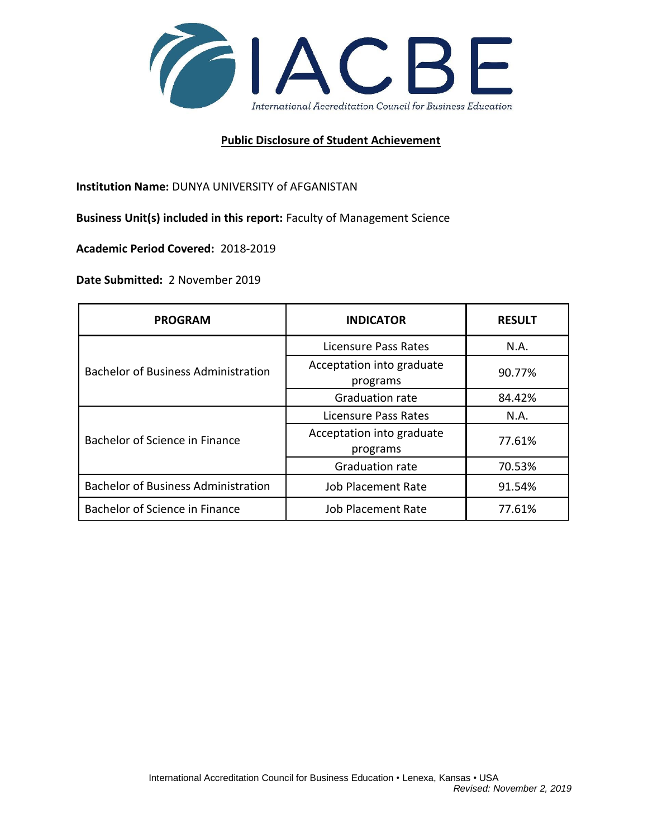

## **Public Disclosure of Student Achievement**

**Institution Name:** DUNYA UNIVERSITY of AFGANISTAN

**Business Unit(s) included in this report:** Faculty of Management Science

**Academic Period Covered:** 2018-2019

**Date Submitted:** 2 November 2019

| <b>PROGRAM</b>                             | <b>INDICATOR</b>                      | <b>RESULT</b> |
|--------------------------------------------|---------------------------------------|---------------|
| <b>Bachelor of Business Administration</b> | Licensure Pass Rates                  | N.A.          |
|                                            | Acceptation into graduate<br>programs | 90.77%        |
|                                            | Graduation rate                       | 84.42%        |
| Bachelor of Science in Finance             | Licensure Pass Rates                  | N.A.          |
|                                            | Acceptation into graduate<br>programs | 77.61%        |
|                                            | Graduation rate                       | 70.53%        |
| <b>Bachelor of Business Administration</b> | <b>Job Placement Rate</b>             | 91.54%        |
| Bachelor of Science in Finance             | Job Placement Rate                    | 77.61%        |